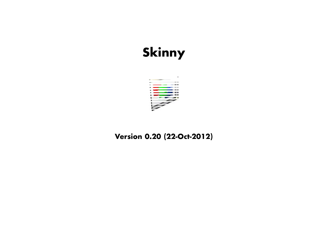# **Skinny**



# **Version 0.20 (22-Oct-2012)**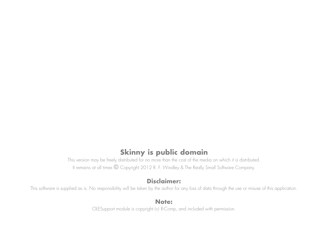# **Skinny is public domain**

 This version may be freely distributed for no more than the cost of the media on which it is distributed.It remains at all times © Copyright 2012 R. F. Windley & The Really Small Software Company.

# **Disclaimer:**

This software is supplied as is. No responsibility will be taken by the author for any loss of data through the use or misuse of this application.

# **Note:**

OLESupport module is copyright (c) R-Comp, and included with permission.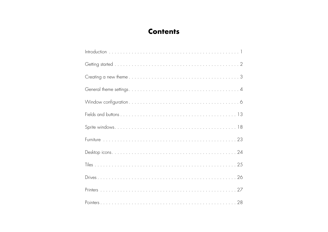# **Contents**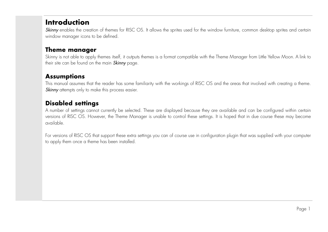# **Introduction**

**Skinny** enables the creation of themes for RISC OS. It allows the sprites used for the window furniture, common desktop sprites and certair window manager icons to be defined.

# **Theme manager**

 Skinny is not able to apply themes itself, it outputs themes is a format compatible with the Theme Manager from Little Yellow Moon. A link totheir site can be found on the main **Skinny** page.

# **Assumptions**

This manual assumes that the reader has some familiarity with the workings of RISC OS and the areas that involved with creating a theme. Skinny attempts only to make this process easier.

# **Disabled settings**

 A number of settings cannot currently be selected. These are displayed because they are available and can be configured within certain versions of RISC OS. However, the Theme Manager is unable to control these settings. It is hoped that in due course these may becomeavailable.

For versions of RISC OS that support these extra settings you can of course use in configuration plugin that was supplied with your computer to apply them once a theme has been installed.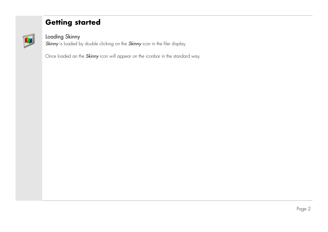# **Getting started**



# Loading Skinny

**Skinny** is loaded by double clicking on the **Skinny** icon in the filer display.

Once loaded an the *Skinny* icon will appear on the iconbar in the standard way.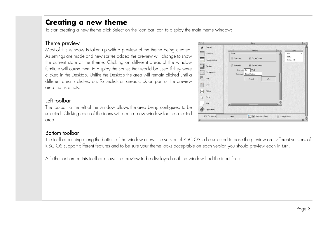# **Creating a new theme**

To start creating a new theme click Select on the icon bar icon to display the main theme window:

#### Theme preview

 Most of this window is taken up with a preview of the theme being created. As settings are made and new sprites added the preview will change to show the current state of the theme. Clicking on different areas of the window furniture will cause them to display the sprites that would be used if they were clicked in the Desktop. Unlike the Desktop the area will remain clicked until a different area is clicked on. To unclick all areas click on part of the previewarea that is empty.

# Left toolbar

 The toolbar to the left of the window allows the area being configured to be selected. Clicking each of the icons will open a new window for the selectedarea.

# Bottom toolbar

 The toolbar running along the bottom of the window allows the version of RISC OS to be selected to base the preview on. Different versions of RISC OS support different features and to be sure your theme looks acceptable on each version you should preview each in turn.

A further option on this toolbar allows the preview to be displayed as if the window had the input focus.

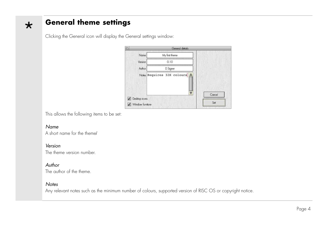# **General theme settings**

| 凸                             | General details            |        |
|-------------------------------|----------------------------|--------|
| Name                          | My first theme             |        |
| Version                       | 0.10                       |        |
| Author                        | D Signer                   |        |
|                               | Notes Requires 32K colours |        |
| Desktop icons<br>$\checkmark$ |                            | Cancel |
| Window furniture              |                            | Set    |

Clicking the General icon will display the General settings window:

This allows the following items to be set:

#### Name

 $\star$ 

A short name for the theme/

#### Version

The theme version number.

#### Author

The author of the theme.

#### **Notes**

Any relevant notes such as the minimum number of colours, supported version of RISC OS or copyright notice.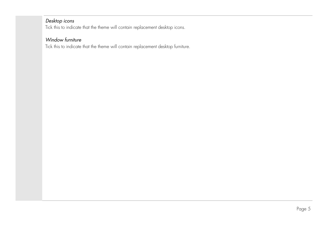#### Desktop icons

Tick this to indicate that the theme will contain replacement desktop icons.

# Window furniture

Tick this to indicate that the theme will contain replacement desktop furniture.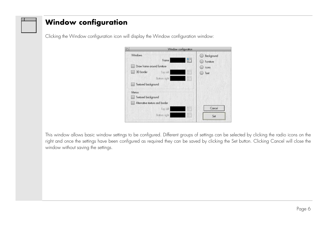# **Window configuration**

Clicking the Window configuration icon will display the Window configuration window:

| 响                              |              | Window configuration |                         |
|--------------------------------|--------------|----------------------|-------------------------|
| <b>Windows</b>                 | Frame        | <b>I'm</b>           | Background<br>Furniture |
| Draw frame around furniture    |              |                      | <b>Icons</b>            |
| 3D border                      | Top left     | <b>FEI</b>           | Text                    |
|                                | Bottom right | H                    |                         |
| Textured background            |              |                      |                         |
| Menus                          |              |                      |                         |
| Textured background            |              |                      |                         |
| Alternative texture and border |              |                      |                         |
|                                | Top eft      | $\mathbb{R}^2$       | Cancel                  |
|                                | Bottom right | Πœ                   | Set                     |
|                                |              |                      |                         |

This window allows basic window settings to be configured. Different groups of settings can be selected by clicking the radio icons on the right and once the settings have been configured as required they can be saved by clicking the Set button. Clicking Cancel will close thewindow without saving the settings.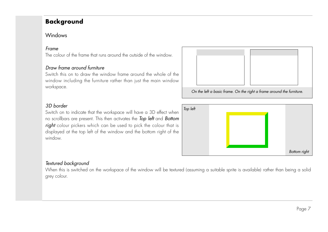# **Background**

### Windows

#### Frame

The colour of the frame that runs around the outside of the window.

#### Draw frame around furniture

 Switch this on to draw the window frame around the whole of the window including the furniture rather than just the main windowworkspace.



On the left a basic frame. On the right a frame around the furniture.

# 3D border

 Switch on to indicate that the workspace will have a 3D effect whenno scrollbars are present. This then activates the **Top left** and **Bottom right** colour pickers which can be used to pick the colour that is displayed at the top left of the window and the bottom right of thewindow.



#### Textured background

 When this is switched on the workspace of the window will be textured (assuming a suitable sprite is available) rather than being a solidgrey colour.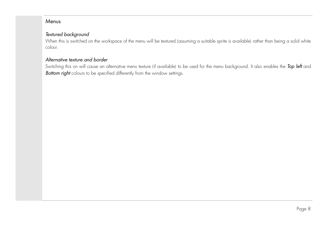#### Menus

#### Textured background

 When this is switched on the workspace of the menu will be textured (assuming a suitable sprite is available) rather than being a solid whitecolour.

#### Alternative texture and border

Switching this on will cause an alternative menu texture (if available) to be used for the menu background. It also enables the **Top left** anc **Bottom right** colours to be specified differently from the window settings.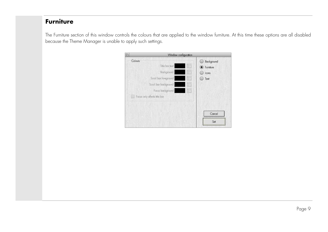# **Furniture**

The Furniture section of this window controls the colours that are applied to the window furniture. At this time these options are all disabledbecause the Theme Manager is unable to apply such settings.

| Window configuration                                                                                                                              |                                                                                                                                             |
|---------------------------------------------------------------------------------------------------------------------------------------------------|---------------------------------------------------------------------------------------------------------------------------------------------|
| Colours<br>Title bar text<br>Background<br>Scroll bar foreground<br>$\overline{a}$<br>Scroll bar background<br>Focus background<br>$\overline{1}$ | Background<br>ti El<br>$\bullet$ Furniture<br>『国<br><b>Icons</b><br>(TEI<br>Text<br>$\begin{bmatrix} 1 & 0 \\ 0 & 1 \end{bmatrix}$<br>the l |
| Facus only affects title bar                                                                                                                      | Cancel<br>Set                                                                                                                               |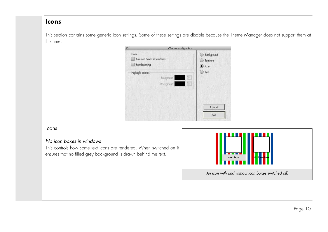#### **Icons**

This section contains some generic icon settings. Some of these settings are disable because the Theme Manager does not support them at this time.

| cons.<br>No icon boxes in windows<br>Font blending |                                                              | Background<br>Furniture<br>C Icons                                                                   |
|----------------------------------------------------|--------------------------------------------------------------|------------------------------------------------------------------------------------------------------|
| Highlight colours                                  | Foreground<br><u>a sa sa</u><br>Background<br>$\overline{a}$ | Text<br>$\begin{bmatrix} \begin{matrix} 2 & 1 \\ 1 & 2 \end{matrix} \end{bmatrix}$<br>$\mathbb{R}^n$ |
|                                                    |                                                              | Cancel<br>Set                                                                                        |

#### Icons

#### No icon boxes in windows

 This controls how some text icons are rendered. When switched on itensures that no filled grey background is drawn behind the text.

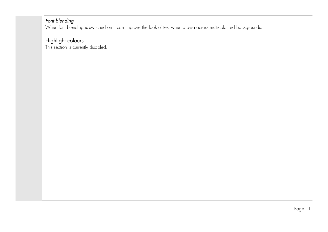#### Font blending

When font blending is switched on it can improve the look of text when drawn across multicoloured backgrounds.

# Highlight colours

This section is currently disabled.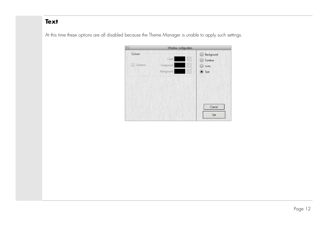# **Text**

At this time these options are all disabled because the Theme Manager is unable to apply such settings.

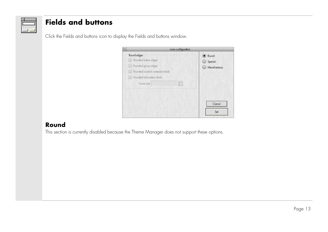# **Fields and buttons**

Click the Fields and buttons icon to display the Fields and buttons window.



# **Round**

This section is currently disabled because the Theme Manager does not support these options.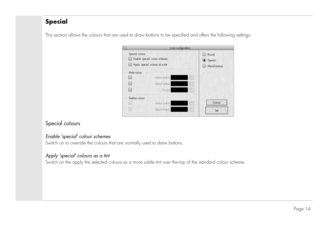# **Special**

|                 | cons configuration                                                   |                      |                                   |
|-----------------|----------------------------------------------------------------------|----------------------|-----------------------------------|
| Special colours | Enable 'special' colour schemes<br>Apply 'special' colours as a tint |                      | Round<br>Special<br>Miscellaneous |
| Main colour     |                                                                      |                      |                                   |
|                 | Action button                                                        | ĨE                   |                                   |
|                 | Default button<br>and the second series                              | TE                   |                                   |
|                 | <b>Groups</b>                                                        | $\boxed{\mathbb{Z}}$ |                                   |
| Text/rim colour |                                                                      |                      |                                   |
|                 | Action button                                                        | İE                   | Cancel                            |
|                 | Default button                                                       | 恒                    | Set                               |

This section allows the colours that are used to draw buttons to be specified and offers the following settings:

# Special colours

#### Enable 'special' colour schemes

Switch on to override the colours that are normally used to draw buttons.

### Apply 'special' colours as a tint

Switch on the apply the selected colours as a more subtle tint over the top of the standard colour scheme.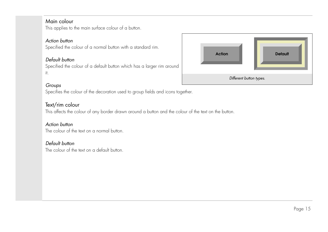### Main colour

This applies to the main surface colour of a button.

#### Action button

Specified the colour of a normal button with a standard rim.

#### Default button

 Specified the colour of a default button which has a larger rim aroundit.



### Groups

Specifies the colour of the decoration used to group fields and icons together.

### Text/rim colour

This affects the colour of any border drawn around a button and the colour of the text on the button.

#### Action button

The colour of the text on a normal button.

#### Default button

The colour of the text on a default button.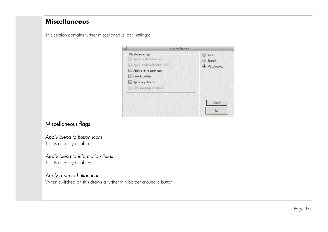# **Miscellaneous**

This section contains further miscellaneous icon settings:



# Miscellaneous flags

#### Apply blend to button iconsThis is currently disabled.

#### Apply blend to information fields

This is currently disabled.

### Apply a rim to button icons

When switched on this draws a further thin border around a button.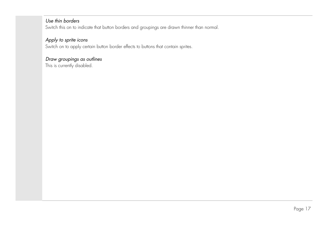### Use thin borders

Switch this on to indicate that button borders and groupings are drawn thinner than normal.

### Apply to sprite icons

Switch on to apply certain button border effects to buttons that contain sprites.

### Draw groupings as outlines

This is currently disabled.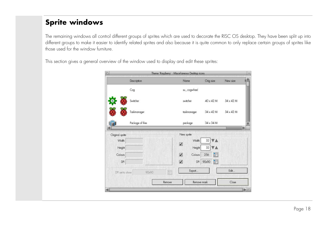# **Sprite windows**

The remaining windows all control different groups of sprites which are used to decorate the RISC OS desktop. They have been split up into different groups to make it easier to identify related sprites and also because it is quite common to only replace certain groups of sprites likethose used for the window furniture.

This section gives a general overview of the window used to display and edit these sprites:

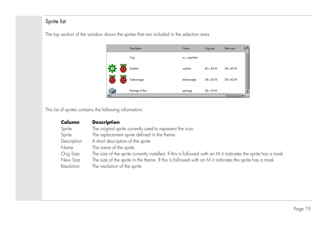# Sprite list

|   | Description      | Name        | Orig size        | New size         |  |
|---|------------------|-------------|------------------|------------------|--|
|   | Cog              | su_cogwheel |                  |                  |  |
| 询 | Switcher         | switcher    | $40 \times 42$ M | $34 \times 42$ M |  |
|   | Taskmanager      | taskmanager | $34 \times 42$ M | $34 \times 42$ M |  |
|   | Package of files | package     | $34 \times 34$ M |                  |  |

The top section of the window shows the sprites that are included in the selection area.

This list of sprites contains the following information:

| Column      | <b>Description</b>                                                                                           |
|-------------|--------------------------------------------------------------------------------------------------------------|
| Sprite      | The original sprite currently used to represent the icon                                                     |
| Sprite      | The replacement sprite defined in the theme                                                                  |
| Description | A short description of the sprite                                                                            |
| Name        | The name of the sprite                                                                                       |
| Orig Size   | The size of the sprite currently installed. If this is followed with an M it indicates the sprite has a mask |
| New Size    | The size of the sprite in the theme. If this is followed with an M it indicates the sprite has a mask        |
| Resolution  | The resolution of the sprite                                                                                 |
|             |                                                                                                              |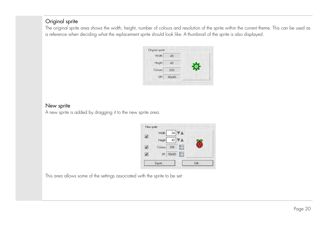# Original sprite

 The original sprite area shows the width, height, number of colours and resolution of the sprite within the current theme. This can be used asa reference when deciding what the replacement sprite should look like. A thumbnail of the sprite is also displayed.

| Width   | 40    |  |
|---------|-------|--|
| Height  | 42    |  |
| Colours | 256   |  |
| DPI     | 90x90 |  |

#### New sprite

A new sprite is added by dragging it to the new sprite area.

|            | Width   |           | $34 \overline{\nabla \mathbb{A}}$ |      |
|------------|---------|-----------|-----------------------------------|------|
| $\sqrt{ }$ | Height  |           | 42 VA                             |      |
| $\sqrt{ }$ | Colours | 32K       | 冒                                 |      |
| J          |         | DPI 90x90 | 偏                                 |      |
|            | Export  |           |                                   | Fdit |

This area allows some of the settings associated with the sprite to be set: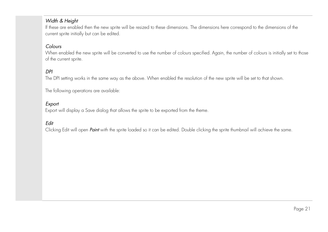### Width & Height

If these are enabled then the new sprite will be resized to these dimensions. The dimensions here correspond to the dimensions of thecurrent sprite initially but can be edited.

#### Colours

 When enabled the new sprite will be converted to use the number of colours specified. Again, the number of colours is initially set to thoseof the current sprite.

#### **DPI**

The DPI setting works in the same way as the above. When enabled the resolution of the new sprite will be set to that shown.

The following operations are available:

#### Export

Export will display a Save dialog that allows the sprite to be exported from the theme.

#### Edit

Clicking Edit will open Paint with the sprite loaded so it can be edited. Double clicking the sprite thumbnail will achieve the same.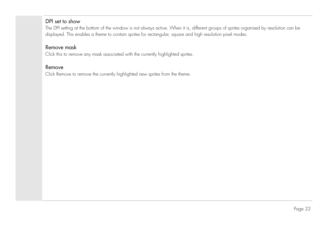### DPI set to show

 The DPI setting at the bottom of the window is not always active. When it is, different groups of sprites organised by resolution can bedisplayed. This enables a theme to contain sprites for rectangular, square and high resolution pixel modes.

# Remove mask

Click this to remove any mask associated with the currently highlighted sprites.

#### Remove

Click Remove to remove the currently highlighted new sprites from the theme.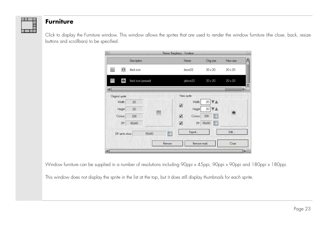

# **Furniture**

Click to display the Furniture window. This window allows the sprites that are used to render the window furniture (the close, back, resizebuttons and scrollbars) to be specified.

|                                     |                     |            | Theme 'Raspberry' : Furniture |                      |                                |
|-------------------------------------|---------------------|------------|-------------------------------|----------------------|--------------------------------|
|                                     | Description         |            | Name                          | Orig size            | New size                       |
| $\odot$<br>心                        | <b>Back icon</b>    |            | bicon <sub>22</sub>           | $20 \times 20$       | $20 \times 20$                 |
| ū<br>$\textcircled{\scriptsize{0}}$ | Back icon (pressed) |            | pbicon22                      | $20 \times 20$       | $20 \times 20$                 |
| Original sprite                     |                     |            | New sprite                    |                      |                                |
| Width                               | 20                  |            | Width<br>$\sqrt{ }$           | 20                   |                                |
| Height                              | 20                  |            | Height                        | 20                   |                                |
| Colours                             | 32K                 | G          | $\checkmark$<br>Colours       | <b>Figure</b><br>32K | $\textcircled{\scriptsize{0}}$ |
| DPI                                 | 90x90               |            | $\checkmark$<br>DPI           | 90x90                |                                |
| DPI set to show                     |                     | 圈<br>90x90 | Export                        |                      | Edit                           |
|                                     |                     | Remove     | Remove mask                   |                      | Close                          |
|                                     |                     |            |                               |                      |                                |

Window furniture can be supplied in a number of resolutions including 90ppi x 45ppi, 90ppi x 90ppi and 180ppi x 180ppi.

This window does not display the sprite in the list at the top, but it does still display thumbnails for each sprite.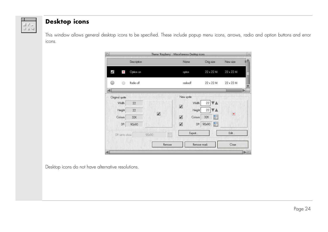

# **Desktop icons**

This window allows general desktop icons to be specified. These include popup menu icons, arrows, radio and option buttons and erroricons.

|                                |             |              | Theme 'Raspberry': Miscellaneous Desktop icons |                  |                  |
|--------------------------------|-------------|--------------|------------------------------------------------|------------------|------------------|
|                                | Description |              | Name                                           | Orig size        | New size         |
| $\checkmark$<br>$\blacksquare$ | Option on   |              | opton                                          | $22 \times 22 M$ | $22 \times 22 M$ |
| œ                              | Radio off   |              | radiooff                                       | $22 \times 22 M$ | $22 \times 22 M$ |
| Original sprite                |             |              | New sprite                                     |                  |                  |
| Width                          | 22          |              | Width<br>$\sqrt{ }$                            | 22               |                  |
| Height                         | 22          |              | Height                                         | 22               |                  |
| Colours                        | 32K         | $\checkmark$ | $\overline{\mathcal{L}}$<br>Colours            | 圖<br>32K         | $\blacksquare$   |
| DPI                            | 90x90       |              | $\sqrt{2}$<br>DPI                              | F<br>90x90       |                  |
| DPI set to show                |             | H<br>90x90   | Export                                         |                  | Edit             |
|                                |             | Remove       |                                                | Remove mask      | Close            |
|                                |             |              |                                                |                  |                  |

Desktop icons do not have alternative resolutions.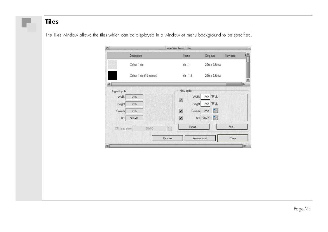# **Tiles**

The Tiles window allows the tiles which can be displayed in a window or menu background to be specified.

|                 | Theme 'Raspberry' : Tiles |                            |        |                       |                      |                |
|-----------------|---------------------------|----------------------------|--------|-----------------------|----------------------|----------------|
|                 | Description               |                            |        | Name                  | Orig size            | New size       |
|                 | Colour 1 tile             |                            |        | $fie_1$               | 256 x 256 M          |                |
|                 |                           | Colour 1 tile (16 colours) |        | $file$ $1.4$          | 256 x 256 M          |                |
| Original sprite |                           |                            |        | New sprite            |                      | $\blacksquare$ |
| Width           | 256                       |                            |        | Width<br>$\checkmark$ | 256 VA               |                |
| Height          | 256                       |                            |        | Height                | 256                  |                |
| Colours         | 256                       |                            |        | $\sqrt{}$<br>Colours  | <b>Figure</b><br>256 |                |
| DP              | 90x90                     |                            |        | $\checkmark$<br>DPI   | 圖<br>90x90           |                |
| DPI set to show |                           | 90x90                      | T      | Export                |                      | Edit           |
|                 |                           |                            | Remove |                       | Remove mask          | Close          |
|                 |                           |                            |        |                       |                      |                |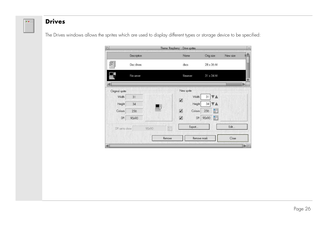# **Drives**

 $20 -$ 

The Drives windows allows the sprites which are used to display different types or storage device to be specified:

|                 |             |             | Theme 'Raspberry' : Drive sprites |                  |                  |
|-----------------|-------------|-------------|-----------------------------------|------------------|------------------|
|                 | Description |             | Name                              | Orig size        | New size         |
| $\leq$          | Disc drives |             | discs                             | 28 x 36 M        |                  |
| $\Rightarrow$   | File server |             | fileserver                        | $31 \times 34 M$ |                  |
|                 |             |             |                                   |                  | $\triangleright$ |
| Original sprite |             |             | New sprite                        |                  |                  |
| Width           | 31          |             | Width                             | 31               |                  |
| Height          | 34          |             | $\checkmark$<br>Height            | 34               |                  |
| Colours         | 256         |             | $\checkmark$<br>Colours           | 圈<br>256         |                  |
| DP              | 90x90       |             | $\checkmark$<br>DPI               | 圈<br>90x90       |                  |
| DPI set to show |             | T.<br>90x90 | Export                            |                  | Edit             |
|                 |             | Remove      |                                   | Remove mask      | Close            |
|                 |             |             |                                   |                  | PE               |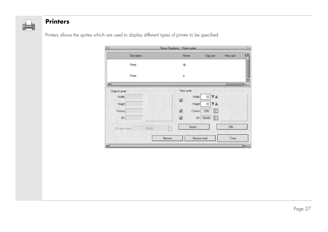

# **Printers**

Printers allows the sprites which are used to display different types of printer to be specified:

|                 |       |        | Theme 'Raspberry': Printer sprites. |             |                  |
|-----------------|-------|--------|-------------------------------------|-------------|------------------|
| Description     |       |        | Name                                | Orig size   | New size         |
| Printer         |       |        | dp                                  |             |                  |
| Printer         |       |        | ix                                  |             | $\triangleright$ |
| Original sprite |       |        | New sprite                          |             |                  |
| Width           |       |        | Width<br>$\checkmark$               | 32<br>A     |                  |
| Height          |       |        | Height                              | 32          |                  |
| Colours         |       |        | $\checkmark$<br>Colours             | 圖<br>256    |                  |
| DPI             |       |        | $\checkmark$<br>DPI                 | 圈<br>90x90  |                  |
| DPI set to show | 90x90 | T      | Export                              |             | Edit             |
|                 |       | Remove |                                     | Remove mask | Close            |
|                 |       |        |                                     |             | PE               |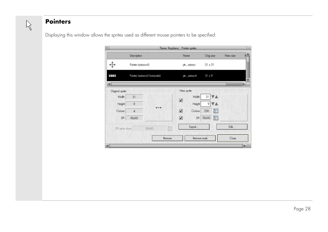

# **Pointers**

Displaying this window allows the sprites used as different mouse pointers to be specified:

|                 |                      |                                 | Theme 'Raspberry' : Pointer sprites |                      |          |
|-----------------|----------------------|---------------------------------|-------------------------------------|----------------------|----------|
|                 | Description          |                                 | Name                                | Orig size            | New size |
|                 | Pointer (autoscroll) |                                 | ptr_autoscr                         | $31 \times 31$       |          |
| $\leftarrow$    |                      | Pointer (autoscroll horizontal) | ptr_autoscrh                        | $31 \times 9$        |          |
| Original sprite |                      |                                 | New sprite                          |                      |          |
| Width           | 31                   |                                 | Width<br>$\checkmark$               | 31                   |          |
| Height          | $\circ$              |                                 | Height                              | 9                    |          |
| Colours         | $\overline{4}$       | $^{++}$                         | $\sqrt{}$<br>Colours                | <b>Figure</b><br>256 |          |
| DPI             | 90x90                |                                 | $\checkmark$<br>DPI                 | 圖<br>90x90           |          |
| DPI set to show |                      | 量<br>90x90                      | Export                              |                      | Edit     |
|                 |                      | Remove                          | Remove mask                         |                      | Close    |
|                 |                      |                                 |                                     |                      |          |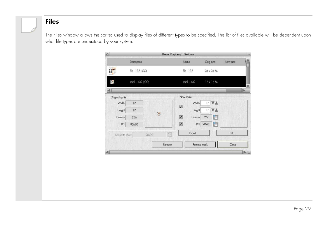# **Files**

The Files window allows the sprites used to display files of different types to be specified. The list of files available will be dependent uponwhat file types are understood by your system.

|                 |                 |                | Theme 'Raspberry' : File icons |                  |          |
|-----------------|-----------------|----------------|--------------------------------|------------------|----------|
|                 | Description     |                | Name                           | Orig size        | New size |
| $\overline{6}$  | file_132 (ICO)  |                | file 132<br>34 x 34 M          |                  |          |
| $\overline{0}$  | small_132 (ICO) |                | $smd = 132$                    | $17 \times 17 M$ |          |
| Original sprite |                 |                | New sprite                     |                  | b        |
| Width           | 17              |                | Width<br>$\sqrt{ }$            | 17               |          |
| Height          | 17              | $\overline{a}$ | Height                         | 17               |          |
| Colours         | 256             |                | $\checkmark$<br>Colours        | 圖<br>256         |          |
| DPI             | 90x90           |                | $\checkmark$<br>DPI            | 90x90            |          |
| DPI set to show |                 | Ħ<br>90x90     | Export                         |                  | Edit     |
|                 |                 | Remove         | Remove mask                    |                  | Close    |
|                 |                 |                |                                |                  |          |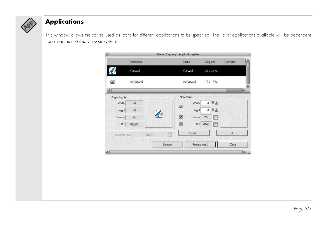

# **Applications**

This window allows the sprites used as icons for different applications to be specified. The list of applications available will be dependent upon what is installed on your system.

| Description<br>!Cartwork<br>smlOartwork |        | Name<br><b>IOartwork</b> | Orig size<br>$34 \times 34$ M | New size         |
|-----------------------------------------|--------|--------------------------|-------------------------------|------------------|
|                                         |        |                          |                               |                  |
|                                         |        |                          |                               |                  |
|                                         |        | smlOartwork              | 18 x 18 M                     |                  |
|                                         |        | New sprite               |                               | $\triangleright$ |
| 34                                      |        | Width                    | 34                            |                  |
| 34                                      |        | Height                   | 34                            |                  |
| 16                                      |        | $\checkmark$<br>Colours  | 圖<br>256                      |                  |
| 90x90                                   |        | $\checkmark$<br>DPI      | F<br>90x90                    |                  |
| 90x90<br>DPI set to show                | Tal    | Export                   |                               | Edit             |
|                                         | Remove |                          |                               | Close            |
|                                         |        |                          | $\overline{\mathcal{L}}$      | Remove mask      |